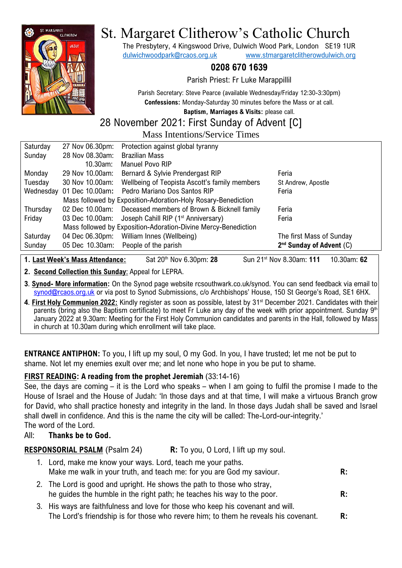

# St. Margaret Clitherow's Catholic Church

The Presbytery, 4 Kingswood Drive, Dulwich Wood Park, London SE19 1UR [dulwichwoodpark@rcaos.org.uk](mailto:dulwichwoodpark@rcaos.org.uk) [www.stmargaretclitherowdulwich.org](http://www.stmargaretclitherowdulwich.org/)

# **0208 670 1639**

Parish Priest: Fr Luke Marappillil

Parish Secretary: Steve Pearce (available Wednesday/Friday 12:30-3:30pm) **Confessions:** Monday-Saturday 30 minutes before the Mass or at call.

**Baptism, Marriages & Visits:** please call.

# 28 November 2021: First Sunday of Advent [C]

Mass Intentions/Service Times

| Saturday  | 27 Nov 06.30pm:                                                | Protection against global tyranny               |                              |  |
|-----------|----------------------------------------------------------------|-------------------------------------------------|------------------------------|--|
| Sunday    | 28 Nov 08.30am:                                                | <b>Brazilian Mass</b>                           |                              |  |
|           | $10.30$ am:                                                    | Manuel Povo RIP                                 |                              |  |
| Monday    | 29 Nov 10.00am:                                                | Bernard & Sylvie Prendergast RIP                | Feria                        |  |
| Tuesday   | 30 Nov 10.00am:                                                | Wellbeing of Teopista Ascott's family members   | St Andrew, Apostle           |  |
| Wednesday | 01 Dec 10.00am:                                                | Pedro Mariano Dos Santos RIP                    | Feria                        |  |
|           | Mass followed by Exposition-Adoration-Holy Rosary-Benediction  |                                                 |                              |  |
| Thursday  | 02 Dec 10.00am:                                                | Deceased members of Brown & Bicknell family     | Feria                        |  |
| Friday    | 03 Dec 10.00am:                                                | Joseph Cahill RIP (1 <sup>st</sup> Anniversary) | Feria                        |  |
|           | Mass followed by Exposition-Adoration-Divine Mercy-Benediction |                                                 |                              |  |
| Saturday  | 04 Dec 06.30pm:                                                | William Innes (Wellbeing)                       | The first Mass of Sunday     |  |
| Sunday    | 05 Dec 10.30am:                                                | People of the parish                            | $2nd$ Sunday of Advent $(C)$ |  |
|           |                                                                |                                                 |                              |  |

**1. Last Week's Mass Attendance:** Sat 20th Nov 6.30pm: **28** Sun 21st Nov 8.30am: **111** 10.30am: **62**

**2. Second Collection this Sunday**: Appeal for LEPRA.

- **3**. **Synod- More information:** On the Synod page website rcsouthwark.co.uk/synod. You can send feedback via email to [synod@rcaos.org.uk](mailto:synod@rcaos.org.uk) or via post to Synod Submissions, c/o Archbishops' House, 150 St George's Road, SE1 6HX.
- **4**. **First Holy Communion 2022:** Kindly register as soon as possible, latest by 31st December 2021. Candidates with their parents (bring also the Baptism certificate) to meet Fr Luke any day of the week with prior appointment. Sunday 9<sup>th</sup> January 2022 at 9.30am: Meeting for the First Holy Communion candidates and parents in the Hall, followed by Mass in church at 10.30am during which enrollment will take place.

**ENTRANCE ANTIPHON:** To you, I lift up my soul, O my God. In you, I have trusted; let me not be put to shame. Not let my enemies exult over me; and let none who hope in you be put to shame.

# **FIRST READING: A reading from the prophet Jeremiah** (33:14-16)

See, the days are coming – it is the Lord who speaks – when I am going to fulfil the promise I made to the House of Israel and the House of Judah: 'In those days and at that time, I will make a virtuous Branch grow for David, who shall practice honesty and integrity in the land. In those days Judah shall be saved and Israel shall dwell in confidence. And this is the name the city will be called: The-Lord-our-integrity.' The word of the Lord.

## All: **Thanks be to God.**

**RESPONSORIAL PSALM** (Psalm 24) **R:** To you, O Lord, I lift up my soul.

- 1. Lord, make me know your ways. Lord, teach me your paths. Make me walk in your truth, and teach me: for you are God my saviour. **R:** 2. The Lord is good and upright. He shows the path to those who stray,
- he guides the humble in the right path; he teaches his way to the poor. **R:**
- 3. His ways are faithfulness and love for those who keep his covenant and will. The Lord's friendship is for those who revere him; to them he reveals his covenant. **R:**